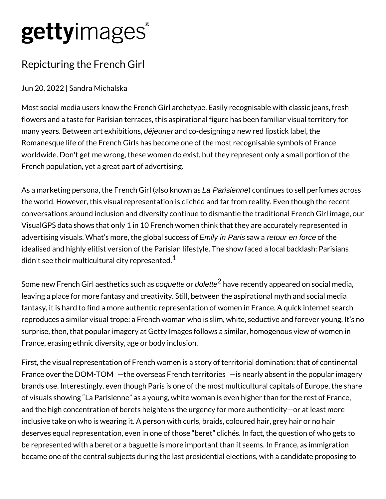## gettyimages®

## Repicturing the French Girl

## Jun 20, 2022 | Sandra Michalska

Most social media users know the French Girl archetype. Easily recognisable with classic jeans, fresh flowers and a taste for Parisian terraces, this aspirational figure has been familiar visual territory for many years. Between art exhibitions, déjeuner and co-designing a new red lipstick label, the Romanesque life of the French Girls has become one of the most recognisable symbols of France worldwide. Don't get me wrong, these women do exist, but they represent only a small portion of the French population, yet a great part of advertising.

As a marketing persona, the French Girl (also known as La Parisienne) continues to sell perfumes across the world. However, this visual representation is clichéd and far from reality. Even though the recent conversations around inclusion and diversity continue to dismantle the traditional French Girl image, our VisualGPS data shows that only 1 in 10 French women think that they are accurately represented in advertising visuals. What's more, the global success of *Emily in Paris* saw a *retour en force* of the idealised and highly elitist version of the Parisian lifestyle. The show faced a local backlash: Parisians didn't see their multicultural city represented.<sup>1</sup>

Some new French Girl aesthetics such as *coquette* or *dolette* $^2$  have recently appeared on social media, leaving a place for more fantasy and creativity. Still, between the aspirational myth and social media fantasy, it is hard to find a more authentic representation of women in France. A quick internet search reproduces a similar visual trope: a French woman who is slim, white, seductive and forever young. It's no surprise, then, that popular imagery at Getty Images follows a similar, homogenous view of women in France, erasing ethnic diversity, age or body inclusion.

First, the visual representation of French women is a story of territorial domination: that of continental France over the DOM-TOM - the overseas French territories - is nearly absent in the popular imagery brands use. Interestingly, even though Paris is one of the most multicultural capitals of Europe, the share of visuals showing "La Parisienne" as a young, white woman is even higher than for the rest of France, and the high concentration of berets heightens the urgency for more authenticity—or at least more inclusive take on who is wearing it. A person with curls, braids, coloured hair, grey hair or no hair deserves equal representation, even in one of those "beret" clichés. In fact, the question of who gets to be represented with a beret or a baguette is more important than it seems. In France, as immigration became one of the central subjects during the last presidential elections, with a candidate proposing to